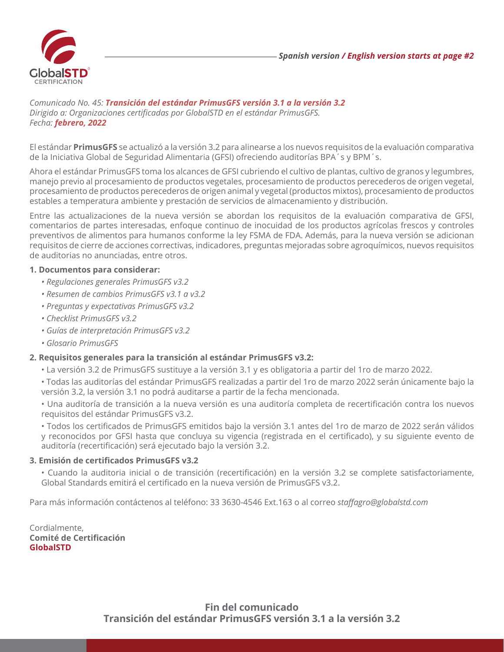

*Comunicado No. 45: Transición del estándar PrimusGFS versión 3.1 a la versión 3.2 Dirigido a: Organizaciones certificadas por GlobalSTD en el estándar PrimusGFS. Fecha: febrero, 2022*

El estándar **PrimusGFS** se actualizó a la versión 3.2 para alinearse a los nuevos requisitos de la evaluación comparativa de la Iniciativa Global de Seguridad Alimentaria (GFSI) ofreciendo auditorías BPA´s y BPM´s.

Ahora el estándar PrimusGFS toma los alcances de GFSI cubriendo el cultivo de plantas, cultivo de granos y legumbres, manejo previo al procesamiento de productos vegetales, procesamiento de productos perecederos de origen vegetal, procesamiento de productos perecederos de origen animal y vegetal (productos mixtos), procesamiento de productos estables a temperatura ambiente y prestación de servicios de almacenamiento y distribución.

Entre las actualizaciones de la nueva versión se abordan los requisitos de la evaluación comparativa de GFSI, comentarios de partes interesadas, enfoque continuo de inocuidad de los productos agrícolas frescos y controles preventivos de alimentos para humanos conforme la ley FSMA de FDA. Además, para la nueva versión se adicionan requisitos de cierre de acciones correctivas, indicadores, preguntas mejoradas sobre agroquímicos, nuevos requisitos de auditorias no anunciadas, entre otros.

## **1. Documentos para considerar:**

- *Regulaciones generales PrimusGFS v3.2*
- *Resumen de cambios PrimusGFS v3.1 a v3.2*
- *Preguntas y expectativas PrimusGFS v3.2*
- *Checklist PrimusGFS v3.2*
- *Guías de interpretación PrimusGFS v3.2*
- *Glosario PrimusGFS*

# **2. Requisitos generales para la transición al estándar PrimusGFS v3.2:**

- La versión 3.2 de PrimusGFS sustituye a la versión 3.1 y es obligatoria a partir del 1ro de marzo 2022.
- Todas las auditorías del estándar PrimusGFS realizadas a partir del 1ro de marzo 2022 serán únicamente bajo la versión 3.2, la versión 3.1 no podrá auditarse a partir de la fecha mencionada.

• Una auditoría de transición a la nueva versión es una auditoría completa de recertificación contra los nuevos requisitos del estándar PrimusGFS v3.2.

• Todos los certificados de PrimusGFS emitidos bajo la versión 3.1 antes del 1ro de marzo de 2022 serán válidos y reconocidos por GFSI hasta que concluya su vigencia (registrada en el certificado), y su siguiente evento de auditoría (recertificación) será ejecutado bajo la versión 3.2.

## **3. Emisión de certificados PrimusGFS v3.2**

• Cuando la auditoria inicial o de transición (recertificación) en la versión 3.2 se complete satisfactoriamente, Global Standards emitirá el certificado en la nueva versión de PrimusGFS v3.2.

Para más información contáctenos al teléfono: 33 3630-4546 Ext.163 o al correo *staffagro@globalstd.com*

Cordialmente, **Comité de Certificación GlobalSTD**